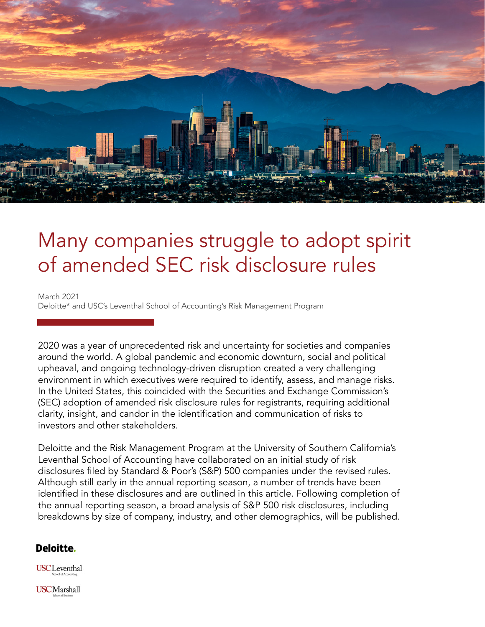

# Many companies struggle to adopt spirit of amended SEC risk disclosure rules

March 2021 Deloitte\* and USC's Leventhal School of Accounting's Risk Management Program

2020 was a year of unprecedented risk and uncertainty for societies and companies around the world. A global pandemic and economic downturn, social and political upheaval, and ongoing technology-driven disruption created a very challenging environment in which executives were required to identify, assess, and manage risks. In the United States, this coincided with the Securities and Exchange Commission's (SEC) adoption of amended risk disclosure rules for registrants, requiring additional clarity, insight, and candor in the identification and communication of risks to investors and other stakeholders.

Deloitte and the Risk Management Program at the University of Southern California's Leventhal School of Accounting have collaborated on an initial study of risk disclosures filed by Standard & Poor's (S&P) 500 companies under the revised rules. Although still early in the annual reporting season, a number of trends have been identified in these disclosures and are outlined in this article. Following completion of the annual reporting season, a broad analysis of S&P 500 risk disclosures, including breakdowns by size of company, industry, and other demographics, will be published.

### Deloitte.

**USCL**eventhal

**USCMarshall**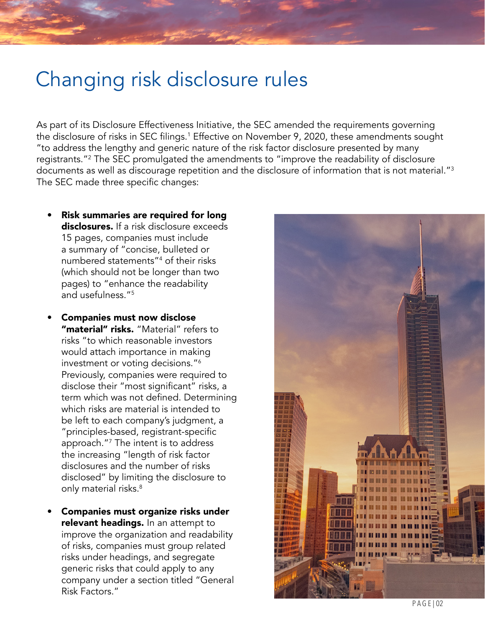## Changing risk disclosure rules

As part of its Disclosure Effectiveness Initiative, the SEC amended the requirements governing the disclosure of risks in SEC filings.<sup>1</sup> Effective on November 9, 2020, these amendments sought "to address the lengthy and generic nature of the risk factor disclosure presented by many registrants."2 The SEC promulgated the amendments to "improve the readability of disclosure documents as well as discourage repetition and the disclosure of information that is not material." $^3$ The SEC made three specific changes:

- Risk summaries are required for long disclosures. If a risk disclosure exceeds 15 pages, companies must include a summary of "concise, bulleted or numbered statements"4 of their risks (which should not be longer than two pages) to "enhance the readability and usefulness."<sup>5</sup>
- Companies must now disclose "material" risks. "Material" refers to risks "to which reasonable investors would attach importance in making investment or voting decisions."6 Previously, companies were required to disclose their "most significant" risks, a term which was not defined. Determining which risks are material is intended to be left to each company's judgment, a "principles-based, registrant-specific approach."7 The intent is to address the increasing "length of risk factor disclosures and the number of risks disclosed" by limiting the disclosure to only material risks.<sup>8</sup>
- Companies must organize risks under relevant headings. In an attempt to improve the organization and readability of risks, companies must group related risks under headings, and segregate generic risks that could apply to any company under a section titled "General Risk Factors."

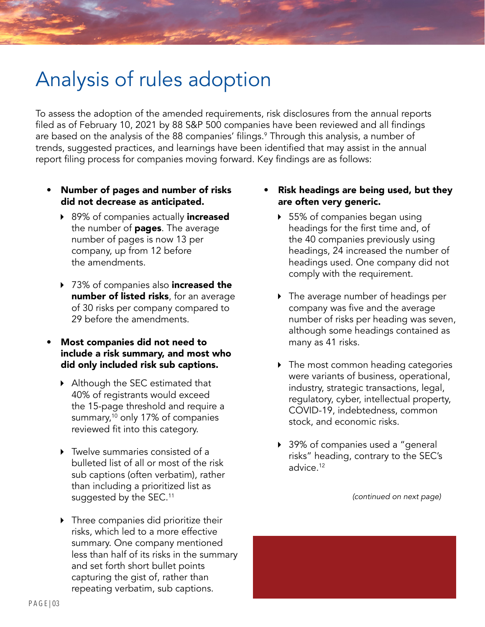# Analysis of rules adoption

To assess the adoption of the amended requirements, risk disclosures from the annual reports filed as of February 10, 2021 by 88 S&P 500 companies have been reviewed and all findings are based on the analysis of the 88 companies' filings.<sup>9</sup> Through this analysis, a number of trends, suggested practices, and learnings have been identified that may assist in the annual report filing process for companies moving forward. Key findings are as follows:

- Number of pages and number of risks did not decrease as anticipated.
	- ▶ 89% of companies actually increased the number of **pages**. The average number of pages is now 13 per company, up from 12 before the amendments.
	- ▶ 73% of companies also **increased the number of listed risks**, for an average of 30 risks per company compared to 29 before the amendments.
- Most companies did not need to include a risk summary, and most who did only included risk sub captions.
	- ▶ Although the SEC estimated that 40% of registrants would exceed the 15-page threshold and require a summary,<sup>10</sup> only 17% of companies reviewed fit into this category.
	- Twelve summaries consisted of a bulleted list of all or most of the risk sub captions (often verbatim), rather than including a prioritized list as suggested by the SEC.<sup>11</sup>
	- ▶ Three companies did prioritize their risks, which led to a more effective summary. One company mentioned less than half of its risks in the summary and set forth short bullet points capturing the gist of, rather than repeating verbatim, sub captions.
- Risk headings are being used, but they are often very generic.
	- ▶ 55% of companies began using headings for the first time and, of the 40 companies previously using headings, 24 increased the number of headings used. One company did not comply with the requirement.
	- The average number of headings per company was five and the average number of risks per heading was seven, although some headings contained as many as 41 risks.
	- ▶ The most common heading categories were variants of business, operational, industry, strategic transactions, legal, regulatory, cyber, intellectual property, COVID-19, indebtedness, common stock, and economic risks.
	- ▶ 39% of companies used a "general risks" heading, contrary to the SEC's advice.12

*(continued on next page)*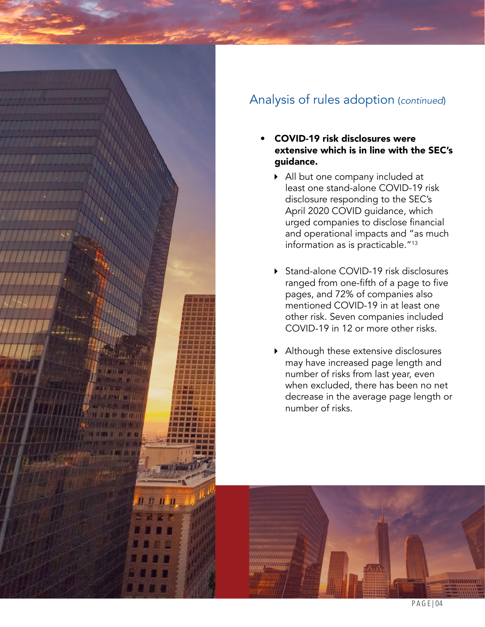

### Analysis of rules adoption (*continued*)

- COVID-19 risk disclosures were extensive which is in line with the SEC's guidance.
	- All but one company included at least one stand-alone COVID-19 risk disclosure responding to the SEC's April 2020 COVID guidance, which urged companies to disclose financial and operational impacts and "as much information as is practicable."13
	- ▶ Stand-alone COVID-19 risk disclosures ranged from one-fifth of a page to five pages, and 72% of companies also mentioned COVID-19 in at least one other risk. Seven companies included COVID-19 in 12 or more other risks.
	- Although these extensive disclosures may have increased page length and number of risks from last year, even when excluded, there has been no net decrease in the average page length or number of risks.

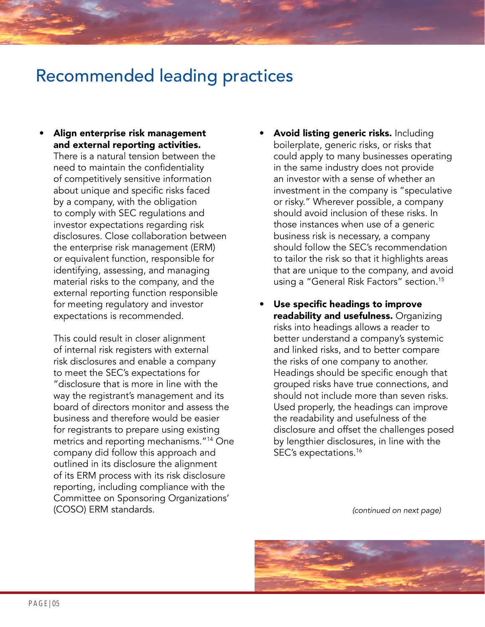## Recommended leading practices

• Align enterprise risk management and external reporting activities.

There is a natural tension between the need to maintain the confidentiality of competitively sensitive information about unique and specific risks faced by a company, with the obligation to comply with SEC regulations and investor expectations regarding risk disclosures. Close collaboration between the enterprise risk management (ERM) or equivalent function, responsible for identifying, assessing, and managing material risks to the company, and the external reporting function responsible for meeting regulatory and investor expectations is recommended.

This could result in closer alignment of internal risk registers with external risk disclosures and enable a company to meet the SEC's expectations for "disclosure that is more in line with the way the registrant's management and its board of directors monitor and assess the business and therefore would be easier for registrants to prepare using existing metrics and reporting mechanisms."14 One company did follow this approach and outlined in its disclosure the alignment of its ERM process with its risk disclosure reporting, including compliance with the Committee on Sponsoring Organizations' (COSO) ERM standards.

- Avoid listing generic risks. Including boilerplate, generic risks, or risks that could apply to many businesses operating in the same industry does not provide an investor with a sense of whether an investment in the company is "speculative or risky." Wherever possible, a company should avoid inclusion of these risks. In those instances when use of a generic business risk is necessary, a company should follow the SEC's recommendation to tailor the risk so that it highlights areas that are unique to the company, and avoid using a "General Risk Factors" section.15
- Use specific headings to improve readability and usefulness. Organizing risks into headings allows a reader to better understand a company's systemic and linked risks, and to better compare the risks of one company to another. Headings should be specific enough that grouped risks have true connections, and should not include more than seven risks. Used properly, the headings can improve the readability and usefulness of the disclosure and offset the challenges posed by lengthier disclosures, in line with the SEC's expectations.16

*(continued on next page)*